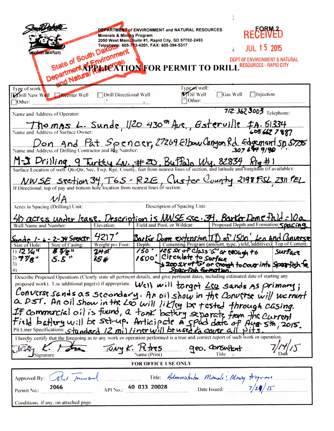| State of South Dake<br><b>REAT ACES GREAT PLACE</b><br>Departm                                                                                                                                                  | <b>DEPARTMENT of ENVIRONMENT and NATURAL RESOURCES</b><br><b>Minerals &amp; Mining Program</b><br>State of South Dancyment<br>State of South Dancyment<br>Partment Affinity of TION FOR PERMIT TO DRILL RESOURCES - RAPID CITY |                                                                                             |                                             |                 | <b>RECENTED</b><br>OF ENVIRONMENT & NATURAL                       |  |
|-----------------------------------------------------------------------------------------------------------------------------------------------------------------------------------------------------------------|--------------------------------------------------------------------------------------------------------------------------------------------------------------------------------------------------------------------------------|---------------------------------------------------------------------------------------------|---------------------------------------------|-----------------|-------------------------------------------------------------------|--|
| Type of work:<br><b>Morill New Well Reenter Well</b><br>$\Box$ Other:                                                                                                                                           | Drill Directional Well                                                                                                                                                                                                         |                                                                                             | Type of well:<br><b>MOIL</b> Well<br>Other: | $\Box$ Gas Well | $\Box$ Injection                                                  |  |
| Name and Address of Operator:                                                                                                                                                                                   |                                                                                                                                                                                                                                |                                                                                             |                                             |                 | 712: 362 3003 Telephone:                                          |  |
| Thomas L. Sunde, 1/20 430 <sup>th</sup> Ave, Bsterville FA. 61334<br>Name and Address of Surface Owner:                                                                                                         |                                                                                                                                                                                                                                |                                                                                             |                                             |                 |                                                                   |  |
| Don And Pat Soencer, 27269 Elbow Canyon Rd. Edgement 50 5725                                                                                                                                                    |                                                                                                                                                                                                                                |                                                                                             |                                             |                 |                                                                   |  |
| M-J Drilling 9 Turky Lv., #20, Buffalo Wy, 82834 Rig #1<br>Surface Location of well: Qtr-Qtr, Sec, Twp, Rge, County, feet from nearest lines of section, and latitude and longitude (if available):             |                                                                                                                                                                                                                                |                                                                                             |                                             |                 |                                                                   |  |
| NWSE Section 34, T65 - R2E, Custor County 2198 FSL, 2311 FEL<br>If Directional, top of pay and bottom hole location from nearest lines of section:                                                              |                                                                                                                                                                                                                                |                                                                                             |                                             |                 |                                                                   |  |
| Description of Spacing Unit:<br>Acres in Spacing (Drilling) Unit:                                                                                                                                               |                                                                                                                                                                                                                                |                                                                                             |                                             |                 |                                                                   |  |
| 40 acres under lease, Description is NWSE sec. 34. Bartor Dune field                                                                                                                                            |                                                                                                                                                                                                                                |                                                                                             |                                             |                 |                                                                   |  |
| Well Name and Number:                                                                                                                                                                                           | Elevation:                                                                                                                                                                                                                     | Field and Pool, or Wildcat:                                                                 |                                             |                 | Proposed Depth and Formation: SOSCIAO                             |  |
| $1 - 6 - 2 - 39$ Spender                                                                                                                                                                                        | 4217'                                                                                                                                                                                                                          |                                                                                             |                                             |                 | Barker Dome extension $\pi$ of $1500'$ , Leo And Cancerse         |  |
| Size of Casing:<br>Size of Hole:                                                                                                                                                                                | Weight per Foot:                                                                                                                                                                                                               | Depth:                                                                                      |                                             |                 | Cementing Program (amount, type, yield, additives) Top of Cement: |  |
| $^{2)}$ 7 $\mathcal{V}_{R}$ "<br>5.5 "<br>3)<br>4)                                                                                                                                                              | 24 <i>s</i> t<br>15 H                                                                                                                                                                                                          | 150 ' 125 St of Class' G' ar crough to                                                      |                                             |                 | Surfact<br>> 200 sx of 6' or crough to cour into Speerfish to.    |  |
| Describe Proposed Operations (Clearly state all pertinent details, and give pertinent dates, including estimated date of starting any                                                                           |                                                                                                                                                                                                                                |                                                                                             |                                             |                 |                                                                   |  |
| proposed work). Use additional page(s) if appropriate. Well will torget $\angle$ co sands As primary;                                                                                                           |                                                                                                                                                                                                                                |                                                                                             |                                             |                 |                                                                   |  |
| Converse sands as secondary. An oil show in the Converse will we mant<br>a DST. An oil show in the Leo will likky be tested through casing.                                                                     |                                                                                                                                                                                                                                |                                                                                             |                                             |                 |                                                                   |  |
|                                                                                                                                                                                                                 |                                                                                                                                                                                                                                |                                                                                             |                                             |                 |                                                                   |  |
| IF commercial oil is fund, a tank bothing separate from the current                                                                                                                                             |                                                                                                                                                                                                                                |                                                                                             |                                             |                 |                                                                   |  |
|                                                                                                                                                                                                                 |                                                                                                                                                                                                                                |                                                                                             |                                             |                 |                                                                   |  |
| Pit Liner Specifications: standard 12 mil / incr will be used to cover all<br>I hereby certify that the foregoing as to any work or operation performed is a true and correct report of such work or operation. |                                                                                                                                                                                                                                |                                                                                             |                                             |                 |                                                                   |  |
| K. ton<br>Tony K. Rives geo. Consultant<br>Name (Print)<br>Signature                                                                                                                                            |                                                                                                                                                                                                                                |                                                                                             |                                             |                 |                                                                   |  |
|                                                                                                                                                                                                                 | <b>FOR OFFICE USE ONLY</b>                                                                                                                                                                                                     |                                                                                             |                                             |                 |                                                                   |  |
| Approved By: Silet Journ Sul                                                                                                                                                                                    |                                                                                                                                                                                                                                | Title: Administrator Minuals! Money Frogram<br>API No.: 40 033 20028 Date Issued: $7/24/15$ |                                             |                 |                                                                   |  |
| 2066<br>Permit No.:                                                                                                                                                                                             |                                                                                                                                                                                                                                |                                                                                             |                                             |                 |                                                                   |  |
| Conditions, if any, on attached page.                                                                                                                                                                           |                                                                                                                                                                                                                                |                                                                                             |                                             |                 |                                                                   |  |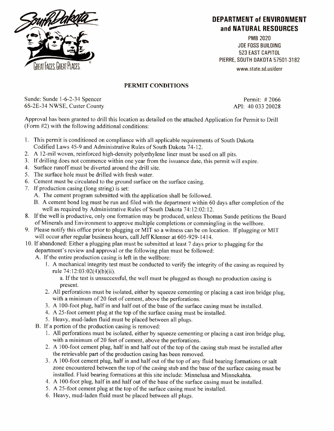

## **DEPARTMENT of ENVIRONMENT and NATURAL RESOURCES**

PMB 2020 JOE FOSS BUILDING 523 EAST CAPITOL PIERRE, SOUTH DAKOTA 57501-3182 www.state.sd.us/denr

## **PERMIT CONDITIONS**

Sunde: Sunde 1-6-2-34 Spencer Permit: # 2066 6S-2E-34 NWSE, Custer County API: 40 033 20028

Approval has been granted to drill this location as detailed on the attached Application for Permit to Drill (Form #2) with the following additional conditions:

- 1. This permit is conditioned on compliance with all applicable requirements of South Dakota Codified Laws 45-9 and Administrative Rules of South Dakota 74-12.
- 2. A 12-mil woven, reinforced high-density polyethylene liner must be used on all pits.
- 3. If drilling does not commence within one year from the issuance date, this permit will expire.
- 4. Surface runoff must be diverted around the drill site.
- 5. The surface hole must be drilled with fresh water.
- 6. Cement must be circulated to the ground surface on the surface casing.
- 7. If production casing (long string) is set:
	- A. The cement program submitted with the application shall be followed.
	- B. A cement bond log must be run and filed with the department within 60 days after completion of the well as required by Administrative Rules of South Dakota 74:12:02:12.
- 8. If the well is productive, only one formation may be produced, unless Thomas Sunde petitions the Board of Minerals and Environment to approve multiple completions or commingling in the wellbore.
- 9. Please notify this office prior to plugging or MIT so a witness can be on location. If plugging or MIT will occur after regular business hours, call Jeff Klenner at 605-929-1414.
- 10. If abandoned: Either a plugging plan must be submitted at least 7 days prior to plugging for the department's review and approval or the following plan must be followed:
	- A. If the entire production casing is left in the wellbore:
		- 1. A mechanical integrity test must be conducted to verify the integrity of the casing as required by rule 74:12:03:02(4)(b)(ii).

a. If the test is unsuccessful, the well must be plugged as though no production casing is present.

- 2. All perforations must be isolated, either by squeeze cementing or placing a cast iron bridge plug, with a minimum of 20 feet of cement, above the perforations.
- 3. A 100-foot plug, half in and half out of **the** base of the surface casing must be installed.
- 4. A 25-foot cement plug at the top of the surface casing must be installed.
- 5. Heavy, mud-laden fluid must be placed between all plugs.
- B. If a portion of the production casing is removed:
	- 1. All perforations must be isolated, either by squeeze cementing or placing a cast iron bridge plug, with a minimum of 20 feet of cement, above the perforations.
	- 2. A 100-foot cement plug, half in and half out of the top of the casing stub must be installed after the retrievable part of the production casing has been removed.
	- 3. A 100-foot cement plug, half in and half out of the top of any fluid bearing formations or salt zone encountered between the top of the casing stub and the base of the surface casing must be installed. Fluid bearing formations at this site include: Minnelusa and Minnekahta.
	- 4. A 100-foot plug, half in and half out of the base of the surface casing must be installed.
	- 5. A 25-foot cement plug at the top of the surface casing must be installed.
	- 6. Heavy, mud-laden fluid must be placed between **all** plugs.